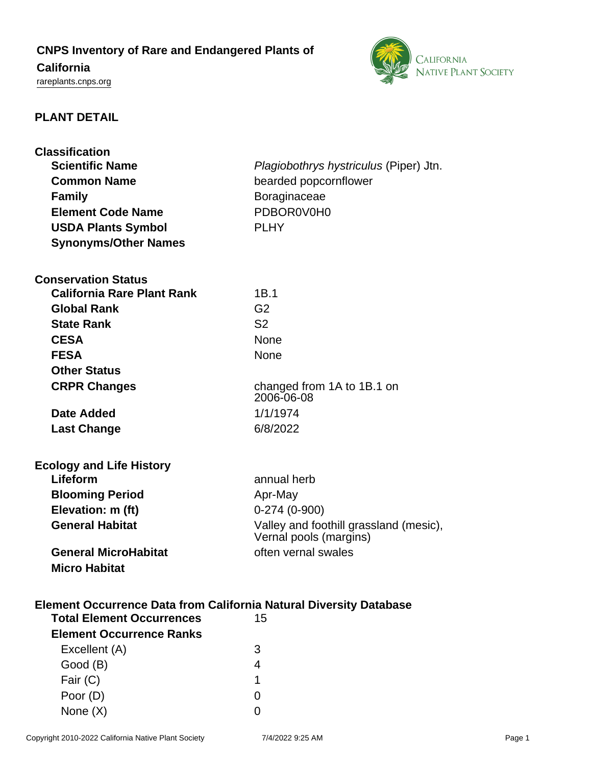# **CNPS Inventory of Rare and Endangered Plants of**

# **California**

<rareplants.cnps.org>



# **PLANT DETAIL**

| <b>Classification</b><br><b>Scientific Name</b>                           | <i>Plagiobothrys hystriculus (Piper) Jtn.</i>                    |
|---------------------------------------------------------------------------|------------------------------------------------------------------|
| <b>Common Name</b>                                                        | bearded popcornflower                                            |
| <b>Family</b>                                                             | Boraginaceae                                                     |
| <b>Element Code Name</b>                                                  | PDBOR0V0H0                                                       |
| <b>USDA Plants Symbol</b>                                                 | <b>PLHY</b>                                                      |
| <b>Synonyms/Other Names</b>                                               |                                                                  |
|                                                                           |                                                                  |
| <b>Conservation Status</b>                                                |                                                                  |
| <b>California Rare Plant Rank</b>                                         | 1B.1                                                             |
| <b>Global Rank</b>                                                        | G <sub>2</sub>                                                   |
| <b>State Rank</b>                                                         | S <sub>2</sub>                                                   |
| <b>CESA</b>                                                               | <b>None</b>                                                      |
| <b>FESA</b>                                                               | None                                                             |
| <b>Other Status</b>                                                       |                                                                  |
| <b>CRPR Changes</b>                                                       | changed from 1A to 1B.1 on<br>2006-06-08                         |
| <b>Date Added</b>                                                         | 1/1/1974                                                         |
| <b>Last Change</b>                                                        | 6/8/2022                                                         |
|                                                                           |                                                                  |
| <b>Ecology and Life History</b>                                           |                                                                  |
| Lifeform                                                                  | annual herb                                                      |
| <b>Blooming Period</b>                                                    | Apr-May                                                          |
| Elevation: m (ft)                                                         | $0-274(0-900)$                                                   |
| <b>General Habitat</b>                                                    | Valley and foothill grassland (mesic),<br>Vernal pools (margins) |
| <b>General MicroHabitat</b>                                               | often vernal swales                                              |
| <b>Micro Habitat</b>                                                      |                                                                  |
|                                                                           |                                                                  |
| <b>Element Occurrence Data from California Natural Diversity Database</b> |                                                                  |
| <b>Total Element Occurrences</b>                                          | 15                                                               |
| <b>Element Occurrence Ranks</b>                                           |                                                                  |
| Excellent (A)                                                             | 3                                                                |
| Good (B)                                                                  | 4                                                                |
| Fair (C)                                                                  | 1                                                                |
| Poor (D)                                                                  | 0                                                                |

None (X) 0